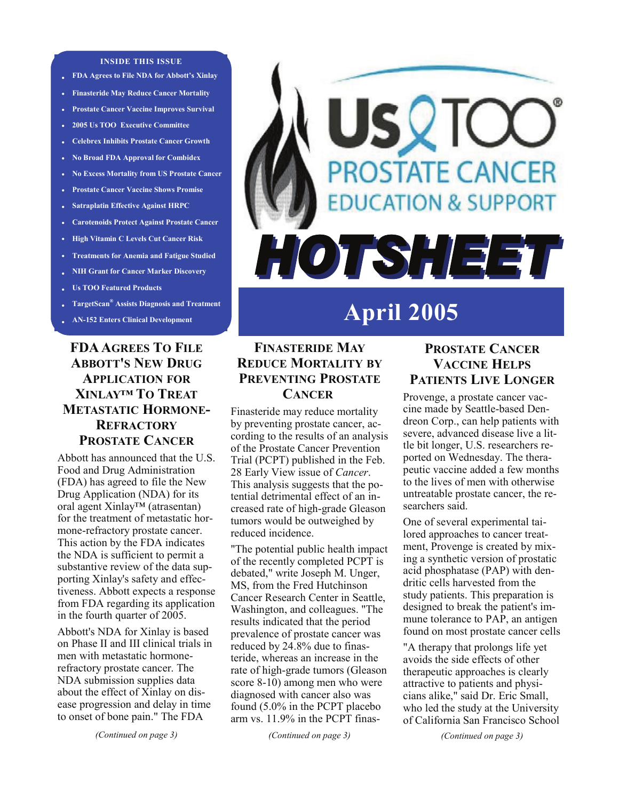#### **INSIDE THIS ISSUE**

- **FDA Agrees to File NDA for Abbott's Xinlay**
- **• Finasteride May Reduce Cancer Mortality**
- **• Prostate Cancer Vaccine Improves Survival**
- **• 2005 Us TOO Executive Committee**
- **• Celebrex Inhibits Prostate Cancer Growth**
- **• No Broad FDA Approval for Combidex**
- **• No Excess Mortality from US Prostate Cancer**
- **• Prostate Cancer Vaccine Shows Promise**
- **• Satraplatin Effective Against HRPC**
- **• Carotenoids Protect Against Prostate Cancer**
- **High Vitamin C Levels Cut Cancer Risk**
- **Treatments for Anemia and Fatigue Studied**
- **• NIH Grant for Cancer Marker Discovery**
- **• Us TOO Featured Products**
- **• TargetScan® Assists Diagnosis and Treatment**
- **• AN-152 Enters Clinical Development**

## **FDA AGREES TO FILE ABBOTT'S NEW DRUG APPLICATION FOR XINLAY™ TO TREAT METASTATIC HORMONE-REFRACTORY PROSTATE CANCER**

Abbott has announced that the U.S. Food and Drug Administration (FDA) has agreed to file the New Drug Application (NDA) for its oral agent Xinlay™ (atrasentan) for the treatment of metastatic hormone-refractory prostate cancer. This action by the FDA indicates the NDA is sufficient to permit a substantive review of the data supporting Xinlay's safety and effectiveness. Abbott expects a response from FDA regarding its application in the fourth quarter of 2005.

Abbott's NDA for Xinlay is based on Phase II and III clinical trials in men with metastatic hormonerefractory prostate cancer. The NDA submission supplies data about the effect of Xinlay on disease progression and delay in time to onset of bone pain." The FDA

# SV<sup>-</sup> **PROSTATE CANCER DUCATION & SUPPORT** HOTSHEET

# **April 2005**

#### **FINASTERIDE MAY REDUCE MORTALITY BY PREVENTING PROSTATE CANCER**

Finasteride may reduce mortality by preventing prostate cancer, according to the results of an analysis of the Prostate Cancer Prevention Trial (PCPT) published in the Feb. 28 Early View issue of *Cancer*. This analysis suggests that the potential detrimental effect of an increased rate of high-grade Gleason tumors would be outweighed by reduced incidence.

"The potential public health impact of the recently completed PCPT is debated," write Joseph M. Unger, MS, from the Fred Hutchinson Cancer Research Center in Seattle, Washington, and colleagues. "The results indicated that the period prevalence of prostate cancer was reduced by 24.8% due to finasteride, whereas an increase in the rate of high-grade tumors (Gleason score 8-10) among men who were diagnosed with cancer also was found (5.0% in the PCPT placebo arm vs. 11.9% in the PCPT finas-

*(Continued on page 3)* 

## **PROSTATE CANCER VACCINE HELPS PATIENTS LIVE LONGER**

Provenge, a prostate cancer vaccine made by Seattle-based Dendreon Corp., can help patients with severe, advanced disease live a little bit longer, U.S. researchers reported on Wednesday. The therapeutic vaccine added a few months to the lives of men with otherwise untreatable prostate cancer, the researchers said.

One of several experimental tailored approaches to cancer treatment, Provenge is created by mixing a synthetic version of prostatic acid phosphatase (PAP) with dendritic cells harvested from the study patients. This preparation is designed to break the patient's immune tolerance to PAP, an antigen found on most prostate cancer cells

"A therapy that prolongs life yet avoids the side effects of other therapeutic approaches is clearly attractive to patients and physicians alike," said Dr. Eric Small, who led the study at the University of California San Francisco School

*(Continued on page 3)*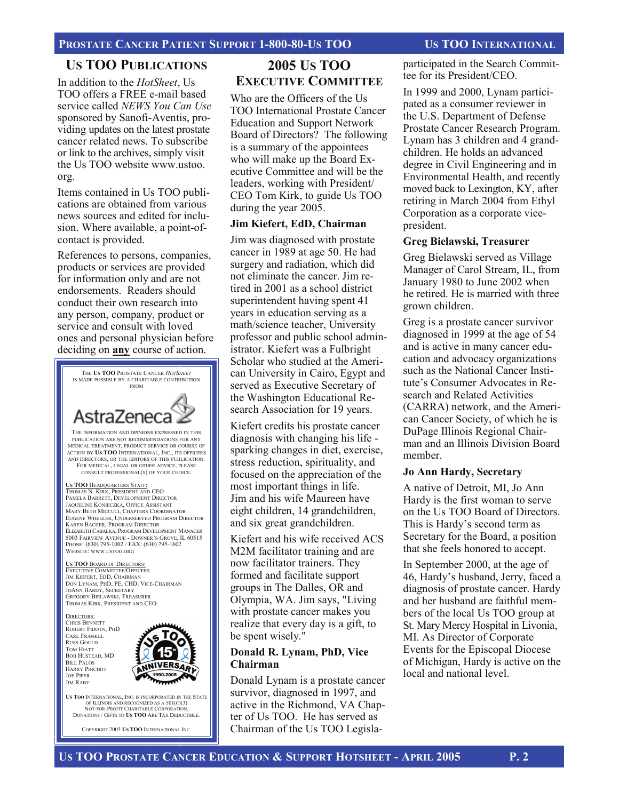#### **US TOO PUBLICATIONS**

In addition to the *HotSheet*, Us TOO offers a FREE e-mail based service called *NEWS You Can Use*  sponsored by Sanofi-Aventis, providing updates on the latest prostate cancer related news. To subscribe or link to the archives, simply visit the Us TOO website www.ustoo. org.

Items contained in Us TOO publications are obtained from various news sources and edited for inclusion. Where available, a point-ofcontact is provided.

References to persons, companies, products or services are provided for information only and are not endorsements. Readers should conduct their own research into any person, company, product or service and consult with loved ones and personal physician before deciding on **any** course of action.



NOT-FOR-PROFIT CHARITABLE CORPORATION DONATIONS / GIFTS TO **US TOO** ARE TAX DEDUCTIBLE.

COPYRIGHT 2005 **US TOO** INTERNATIONAL INC.

## **2005 US TOO EXECUTIVE COMMITTEE**

Who are the Officers of the Us TOO International Prostate Cancer Education and Support Network Board of Directors? The following is a summary of the appointees who will make up the Board Executive Committee and will be the leaders, working with President/ CEO Tom Kirk, to guide Us TOO during the year 2005.

#### **Jim Kiefert, EdD, Chairman**

Jim was diagnosed with prostate cancer in 1989 at age 50. He had surgery and radiation, which did not eliminate the cancer. Jim retired in 2001 as a school district superintendent having spent 41 years in education serving as a math/science teacher, University professor and public school administrator. Kiefert was a Fulbright Scholar who studied at the American University in Cairo, Egypt and served as Executive Secretary of the Washington Educational Research Association for 19 years.

Kiefert credits his prostate cancer diagnosis with changing his life sparking changes in diet, exercise, stress reduction, spirituality, and focused on the appreciation of the most important things in life. Jim and his wife Maureen have eight children, 14 grandchildren, and six great grandchildren.

Kiefert and his wife received ACS M2M facilitator training and are now facilitator trainers. They formed and facilitate support groups in The Dalles, OR and Olympia, WA. Jim says, "Living with prostate cancer makes you realize that every day is a gift, to be spent wisely."

#### **Donald R. Lynam, PhD, Vice Chairman**

Donald Lynam is a prostate cancer survivor, diagnosed in 1997, and active in the Richmond, VA Chapter of Us TOO. He has served as Chairman of the Us TOO Legislaparticipated in the Search Committee for its President/CEO.

In 1999 and 2000, Lynam participated as a consumer reviewer in the U.S. Department of Defense Prostate Cancer Research Program. Lynam has 3 children and 4 grandchildren. He holds an advanced degree in Civil Engineering and in Environmental Health, and recently moved back to Lexington, KY, after retiring in March 2004 from Ethyl Corporation as a corporate vicepresident.

#### **Greg Bielawski, Treasurer**

Greg Bielawski served as Village Manager of Carol Stream, IL, from January 1980 to June 2002 when he retired. He is married with three grown children.

Greg is a prostate cancer survivor diagnosed in 1999 at the age of 54 and is active in many cancer education and advocacy organizations such as the National Cancer Institute's Consumer Advocates in Research and Related Activities (CARRA) network, and the American Cancer Society, of which he is DuPage Illinois Regional Chairman and an Illinois Division Board member.

#### **Jo Ann Hardy, Secretary**

A native of Detroit, MI, Jo Ann Hardy is the first woman to serve on the Us TOO Board of Directors. This is Hardy's second term as Secretary for the Board, a position that she feels honored to accept.

In September 2000, at the age of 46, Hardy's husband, Jerry, faced a diagnosis of prostate cancer. Hardy and her husband are faithful members of the local Us TOO group at St. Mary Mercy Hospital in Livonia, MI. As Director of Corporate Events for the Episcopal Diocese of Michigan, Hardy is active on the local and national level.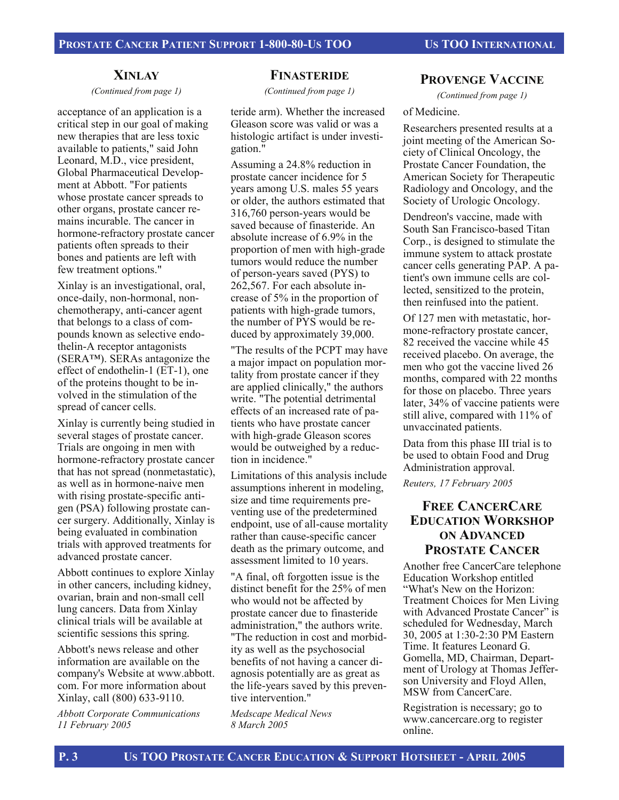#### **XINLAY**

*(Continued from page 1)* 

acceptance of an application is a critical step in our goal of making new therapies that are less toxic available to patients," said John Leonard, M.D., vice president, Global Pharmaceutical Development at Abbott. "For patients whose prostate cancer spreads to other organs, prostate cancer remains incurable. The cancer in hormone-refractory prostate cancer patients often spreads to their bones and patients are left with few treatment options."

Xinlay is an investigational, oral, once-daily, non-hormonal, nonchemotherapy, anti-cancer agent that belongs to a class of compounds known as selective endothelin-A receptor antagonists (SERA™). SERAs antagonize the effect of endothelin-1 (ET-1), one of the proteins thought to be involved in the stimulation of the spread of cancer cells.

Xinlay is currently being studied in several stages of prostate cancer. Trials are ongoing in men with hormone-refractory prostate cancer that has not spread (nonmetastatic), as well as in hormone-naive men with rising prostate-specific antigen (PSA) following prostate cancer surgery. Additionally, Xinlay is being evaluated in combination trials with approved treatments for advanced prostate cancer.

Abbott continues to explore Xinlay in other cancers, including kidney, ovarian, brain and non-small cell lung cancers. Data from Xinlay clinical trials will be available at scientific sessions this spring.

Abbott's news release and other information are available on the company's Website at www.abbott. com. For more information about Xinlay, call (800) 633-9110.

*Abbott Corporate Communications 11 February 2005* 

#### **FINASTERIDE**

*(Continued from page 1)* 

teride arm). Whether the increased Gleason score was valid or was a histologic artifact is under investigation."

Assuming a 24.8% reduction in prostate cancer incidence for 5 years among U.S. males 55 years or older, the authors estimated that 316,760 person-years would be saved because of finasteride. An absolute increase of 6.9% in the proportion of men with high-grade tumors would reduce the number of person-years saved (PYS) to 262,567. For each absolute increase of 5% in the proportion of patients with high-grade tumors, the number of PYS would be reduced by approximately 39,000.

"The results of the PCPT may have a major impact on population mortality from prostate cancer if they are applied clinically," the authors write. "The potential detrimental effects of an increased rate of patients who have prostate cancer with high-grade Gleason scores would be outweighed by a reduction in incidence."

Limitations of this analysis include assumptions inherent in modeling, size and time requirements preventing use of the predetermined endpoint, use of all-cause mortality rather than cause-specific cancer death as the primary outcome, and assessment limited to 10 years.

"A final, oft forgotten issue is the distinct benefit for the 25% of men who would not be affected by prostate cancer due to finasteride administration," the authors write. "The reduction in cost and morbidity as well as the psychosocial benefits of not having a cancer diagnosis potentially are as great as the life-years saved by this preventive intervention."

*Medscape Medical News 8 March 2005* 

#### **PROVENGE VACCINE**

*(Continued from page 1)* 

#### of Medicine.

Researchers presented results at a joint meeting of the American Society of Clinical Oncology, the Prostate Cancer Foundation, the American Society for Therapeutic Radiology and Oncology, and the Society of Urologic Oncology.

Dendreon's vaccine, made with South San Francisco-based Titan Corp., is designed to stimulate the immune system to attack prostate cancer cells generating PAP. A patient's own immune cells are collected, sensitized to the protein, then reinfused into the patient.

Of 127 men with metastatic, hormone-refractory prostate cancer, 82 received the vaccine while 45 received placebo. On average, the men who got the vaccine lived 26 months, compared with 22 months for those on placebo. Three years later, 34% of vaccine patients were still alive, compared with 11% of unvaccinated patients.

Data from this phase III trial is to be used to obtain Food and Drug Administration approval.

*Reuters, 17 February 2005* 

#### **FREE CANCERCARE EDUCATION WORKSHOP ON ADVANCED PROSTATE CANCER**

Another free CancerCare telephone Education Workshop entitled "What's New on the Horizon: Treatment Choices for Men Living with Advanced Prostate Cancer" is scheduled for Wednesday, March 30, 2005 at 1:30-2:30 PM Eastern Time. It features Leonard G. Gomella, MD, Chairman, Department of Urology at Thomas Jefferson University and Floyd Allen, MSW from CancerCare.

Registration is necessary; go to www.cancercare.org to register online.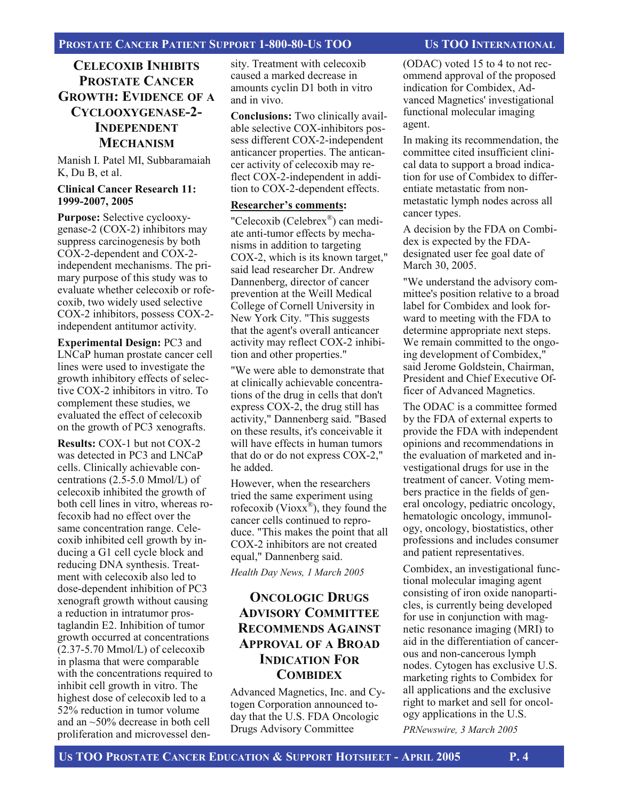#### **CELECOXIB INHIBITS PROSTATE CANCER GROWTH: EVIDENCE OF A CYCLOOXYGENASE-2- INDEPENDENT MECHANISM**

Manish I. Patel MI, Subbaramaiah K, Du B, et al.

#### **Clinical Cancer Research 11: 1999-2007, 2005**

**Purpose:** Selective cyclooxygenase-2 (COX-2) inhibitors may suppress carcinogenesis by both COX-2-dependent and COX-2 independent mechanisms. The primary purpose of this study was to evaluate whether celecoxib or rofecoxib, two widely used selective COX-2 inhibitors, possess COX-2 independent antitumor activity.

**Experimental Design:** PC3 and LNCaP human prostate cancer cell lines were used to investigate the growth inhibitory effects of selective COX-2 inhibitors in vitro. To complement these studies, we evaluated the effect of celecoxib on the growth of PC3 xenografts.

**Results:** COX-1 but not COX-2 was detected in PC3 and LNCaP cells. Clinically achievable concentrations (2.5-5.0 Mmol/L) of celecoxib inhibited the growth of both cell lines in vitro, whereas rofecoxib had no effect over the same concentration range. Celecoxib inhibited cell growth by inducing a G1 cell cycle block and reducing DNA synthesis. Treatment with celecoxib also led to dose-dependent inhibition of PC3 xenograft growth without causing a reduction in intratumor prostaglandin E2. Inhibition of tumor growth occurred at concentrations  $(2.37-5.70 \text{ Mmol/L})$  of celecoxib in plasma that were comparable with the concentrations required to inhibit cell growth in vitro. The highest dose of celecoxib led to a 52% reduction in tumor volume and an ~50% decrease in both cell proliferation and microvessel density. Treatment with celecoxib caused a marked decrease in amounts cyclin D1 both in vitro and in vivo.

**Conclusions:** Two clinically available selective COX-inhibitors possess different COX-2-independent anticancer properties. The anticancer activity of celecoxib may reflect COX-2-independent in addition to COX-2-dependent effects.

#### **Researcher's comments:**

"Celecoxib (Celebrex®) can mediate anti-tumor effects by mechanisms in addition to targeting COX-2, which is its known target," said lead researcher Dr. Andrew Dannenberg, director of cancer prevention at the Weill Medical College of Cornell University in New York City. "This suggests that the agent's overall anticancer activity may reflect COX-2 inhibition and other properties."

"We were able to demonstrate that at clinically achievable concentrations of the drug in cells that don't express COX-2, the drug still has activity," Dannenberg said. "Based on these results, it's conceivable it will have effects in human tumors that do or do not express COX-2," he added.

However, when the researchers tried the same experiment using rofecoxib (Viox $x^{\mathcal{B}}$ ), they found the cancer cells continued to reproduce. "This makes the point that all COX-2 inhibitors are not created equal," Dannenberg said.

*Health Day News, 1 March 2005* 

## **ONCOLOGIC DRUGS ADVISORY COMMITTEE RECOMMENDS AGAINST APPROVAL OF A BROAD INDICATION FOR COMBIDEX**

Advanced Magnetics, Inc. and Cytogen Corporation announced today that the U.S. FDA Oncologic Drugs Advisory Committee

(ODAC) voted 15 to 4 to not recommend approval of the proposed indication for Combidex, Advanced Magnetics' investigational functional molecular imaging agent.

In making its recommendation, the committee cited insufficient clinical data to support a broad indication for use of Combidex to differentiate metastatic from nonmetastatic lymph nodes across all cancer types.

A decision by the FDA on Combidex is expected by the FDAdesignated user fee goal date of March 30, 2005.

"We understand the advisory committee's position relative to a broad label for Combidex and look forward to meeting with the FDA to determine appropriate next steps. We remain committed to the ongoing development of Combidex," said Jerome Goldstein, Chairman, President and Chief Executive Officer of Advanced Magnetics.

The ODAC is a committee formed by the FDA of external experts to provide the FDA with independent opinions and recommendations in the evaluation of marketed and investigational drugs for use in the treatment of cancer. Voting members practice in the fields of general oncology, pediatric oncology, hematologic oncology, immunology, oncology, biostatistics, other professions and includes consumer and patient representatives.

Combidex, an investigational functional molecular imaging agent consisting of iron oxide nanoparticles, is currently being developed for use in conjunction with magnetic resonance imaging (MRI) to aid in the differentiation of cancerous and non-cancerous lymph nodes. Cytogen has exclusive U.S. marketing rights to Combidex for all applications and the exclusive right to market and sell for oncology applications in the U.S.

*PRNewswire, 3 March 2005*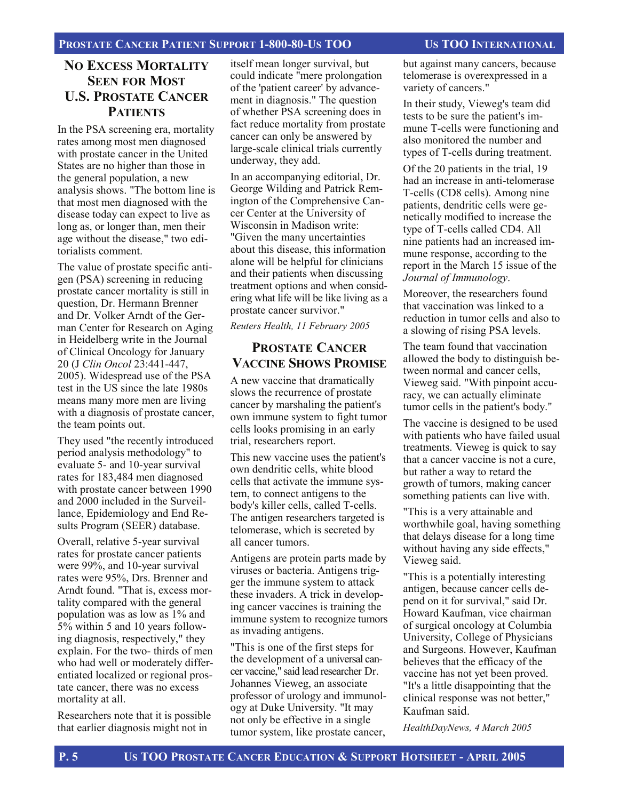#### **NO EXCESS MORTALITY SEEN FOR MOST U.S. PROSTATE CANCER PATIENTS**

In the PSA screening era, mortality rates among most men diagnosed with prostate cancer in the United States are no higher than those in the general population, a new analysis shows. "The bottom line is that most men diagnosed with the disease today can expect to live as long as, or longer than, men their age without the disease," two editorialists comment.

The value of prostate specific antigen (PSA) screening in reducing prostate cancer mortality is still in question, Dr. Hermann Brenner and Dr. Volker Arndt of the German Center for Research on Aging in Heidelberg write in the Journal of Clinical Oncology for January 20 (J *Clin Oncol* 23:441-447, 2005). Widespread use of the PSA test in the US since the late 1980s means many more men are living with a diagnosis of prostate cancer, the team points out.

They used "the recently introduced period analysis methodology" to evaluate 5- and 10-year survival rates for 183,484 men diagnosed with prostate cancer between 1990 and 2000 included in the Surveillance, Epidemiology and End Results Program (SEER) database.

Overall, relative 5-year survival rates for prostate cancer patients were 99%, and 10-year survival rates were 95%, Drs. Brenner and Arndt found. "That is, excess mortality compared with the general population was as low as 1% and 5% within 5 and 10 years following diagnosis, respectively," they explain. For the two- thirds of men who had well or moderately differentiated localized or regional prostate cancer, there was no excess mortality at all.

Researchers note that it is possible that earlier diagnosis might not in

itself mean longer survival, but could indicate "mere prolongation of the 'patient career' by advancement in diagnosis." The question of whether PSA screening does in fact reduce mortality from prostate cancer can only be answered by large-scale clinical trials currently underway, they add.

In an accompanying editorial, Dr. George Wilding and Patrick Remington of the Comprehensive Cancer Center at the University of Wisconsin in Madison write: "Given the many uncertainties about this disease, this information alone will be helpful for clinicians and their patients when discussing treatment options and when considering what life will be like living as a prostate cancer survivor."

*Reuters Health, 11 February 2005* 

#### **PROSTATE CANCER VACCINE SHOWS PROMISE**

A new vaccine that dramatically slows the recurrence of prostate cancer by marshaling the patient's own immune system to fight tumor cells looks promising in an early trial, researchers report.

This new vaccine uses the patient's own dendritic cells, white blood cells that activate the immune system, to connect antigens to the body's killer cells, called T-cells. The antigen researchers targeted is telomerase, which is secreted by all cancer tumors.

Antigens are protein parts made by viruses or bacteria. Antigens trigger the immune system to attack these invaders. A trick in developing cancer vaccines is training the immune system to recognize tumors as invading antigens.

"This is one of the first steps for the development of a universal cancer vaccine," said lead researcher Dr. Johannes Vieweg, an associate professor of urology and immunology at Duke University. "It may not only be effective in a single tumor system, like prostate cancer,

but against many cancers, because telomerase is overexpressed in a variety of cancers."

In their study, Vieweg's team did tests to be sure the patient's immune T-cells were functioning and also monitored the number and types of T-cells during treatment.

Of the 20 patients in the trial, 19 had an increase in anti-telomerase T-cells (CD8 cells). Among nine patients, dendritic cells were genetically modified to increase the type of T-cells called CD4. All nine patients had an increased immune response, according to the report in the March 15 issue of the *Journal of Immunology*.

Moreover, the researchers found that vaccination was linked to a reduction in tumor cells and also to a slowing of rising PSA levels.

The team found that vaccination allowed the body to distinguish between normal and cancer cells, Vieweg said. "With pinpoint accuracy, we can actually eliminate tumor cells in the patient's body."

The vaccine is designed to be used with patients who have failed usual treatments. Vieweg is quick to say that a cancer vaccine is not a cure, but rather a way to retard the growth of tumors, making cancer something patients can live with.

"This is a very attainable and worthwhile goal, having something that delays disease for a long time without having any side effects," Vieweg said.

"This is a potentially interesting antigen, because cancer cells depend on it for survival," said Dr. Howard Kaufman, vice chairman of surgical oncology at Columbia University, College of Physicians and Surgeons. However, Kaufman believes that the efficacy of the vaccine has not yet been proved. "It's a little disappointing that the clinical response was not better," Kaufman said.

*HealthDayNews, 4 March 2005*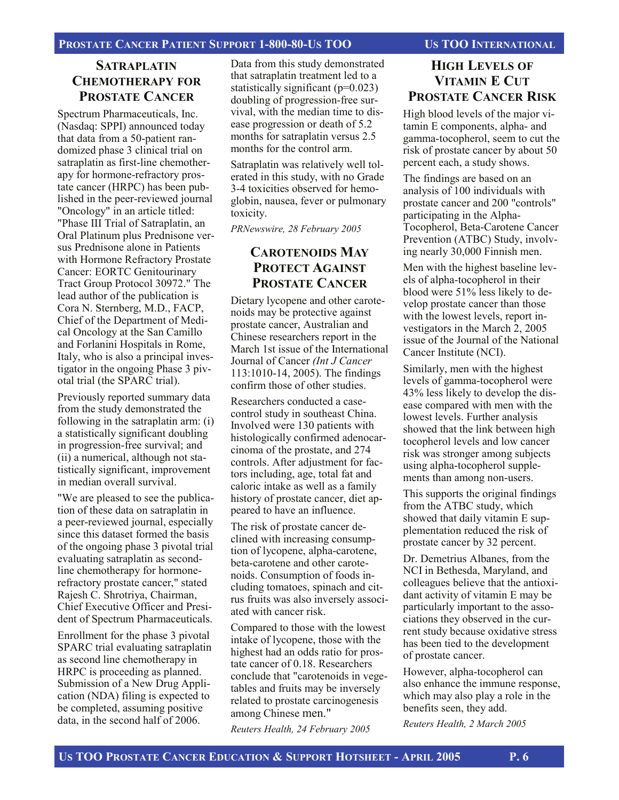#### PROSTATE CANCER PATIENT SUPPORT 1-800-80-US TOO US TOO INTERNATIONAL

#### **SATRAPLATIN CHEMOTHERAPY FOR PROSTATE CANCER**

Spectrum Pharmaceuticals, Inc. (Nasdaq: SPPI) announced today that data from a 50-patient randomized phase 3 clinical trial on satraplatin as first-line chemotherapy for hormone-refractory prostate cancer (HRPC) has been published in the peer-reviewed journal "Oncology" in an article titled: "Phase III Trial of Satraplatin, an Oral Platinum plus Prednisone versus Prednisone alone in Patients with Hormone Refractory Prostate Cancer: EORTC Genitourinary Tract Group Protocol 30972." The lead author of the publication is Cora N. Sternberg, M.D., FACP, Chief of the Department of Medical Oncology at the San Camillo and Forlanini Hospitals in Rome, Italy, who is also a principal investigator in the ongoing Phase 3 pivotal trial (the SPARC trial).

Previously reported summary data from the study demonstrated the following in the satraplatin arm: (i) a statistically significant doubling in progression-free survival; and (ii) a numerical, although not statistically significant, improvement in median overall survival.

"We are pleased to see the publication of these data on satraplatin in a peer-reviewed journal, especially since this dataset formed the basis of the ongoing phase 3 pivotal trial evaluating satraplatin as secondline chemotherapy for hormonerefractory prostate cancer," stated Rajesh C. Shrotriya, Chairman, Chief Executive Officer and President of Spectrum Pharmaceuticals.

Enrollment for the phase 3 pivotal SPARC trial evaluating satraplatin as second line chemotherapy in HRPC is proceeding as planned. Submission of a New Drug Application (NDA) filing is expected to be completed, assuming positive data, in the second half of 2006.

Data from this study demonstrated that satraplatin treatment led to a statistically significant  $(p=0.023)$ doubling of progression-free survival, with the median time to disease progression or death of 5.2 months for satraplatin versus 2.5 months for the control arm.

Satraplatin was relatively well tolerated in this study, with no Grade 3-4 toxicities observed for hemoglobin, nausea, fever or pulmonary toxicity.

*PRNewswire, 28 February 2005*

#### **CAROTENOIDS MAY PROTECT AGAINST PROSTATE CANCER**

Dietary lycopene and other carotenoids may be protective against prostate cancer, Australian and Chinese researchers report in the March 1st issue of the International Journal of Cancer *(Int J Cancer* 113:1010-14, 2005). The findings confirm those of other studies.

Researchers conducted a casecontrol study in southeast China. Involved were 130 patients with histologically confirmed adenocarcinoma of the prostate, and 274 controls. After adjustment for factors including, age, total fat and caloric intake as well as a family history of prostate cancer, diet appeared to have an influence.

The risk of prostate cancer declined with increasing consumption of lycopene, alpha-carotene, beta-carotene and other carotenoids. Consumption of foods including tomatoes, spinach and citrus fruits was also inversely associated with cancer risk.

Compared to those with the lowest intake of lycopene, those with the highest had an odds ratio for prostate cancer of 0.18. Researchers conclude that "carotenoids in vegetables and fruits may be inversely related to prostate carcinogenesis among Chinese men." *Reuters Health, 24 February 2005* 

#### **HIGH LEVELS OF VITAMIN E CUT PROSTATE CANCER RISK**

High blood levels of the major vitamin E components, alpha- and gamma-tocopherol, seem to cut the risk of prostate cancer by about 50 percent each, a study shows.

The findings are based on an analysis of 100 individuals with prostate cancer and 200 "controls" participating in the Alpha-Tocopherol, Beta-Carotene Cancer Prevention (ATBC) Study, involving nearly 30,000 Finnish men.

Men with the highest baseline levels of alpha-tocopherol in their blood were 51% less likely to develop prostate cancer than those with the lowest levels, report investigators in the March 2, 2005 issue of the Journal of the National Cancer Institute (NCI).

Similarly, men with the highest levels of gamma-tocopherol were 43% less likely to develop the disease compared with men with the lowest levels. Further analysis showed that the link between high tocopherol levels and low cancer risk was stronger among subjects using alpha-tocopherol supplements than among non-users.

This supports the original findings from the ATBC study, which showed that daily vitamin E supplementation reduced the risk of prostate cancer by 32 percent.

Dr. Demetrius Albanes, from the NCI in Bethesda, Maryland, and colleagues believe that the antioxidant activity of vitamin E may be particularly important to the associations they observed in the current study because oxidative stress has been tied to the development of prostate cancer.

However, alpha-tocopherol can also enhance the immune response, which may also play a role in the benefits seen, they add.

*Reuters Health, 2 March 2005*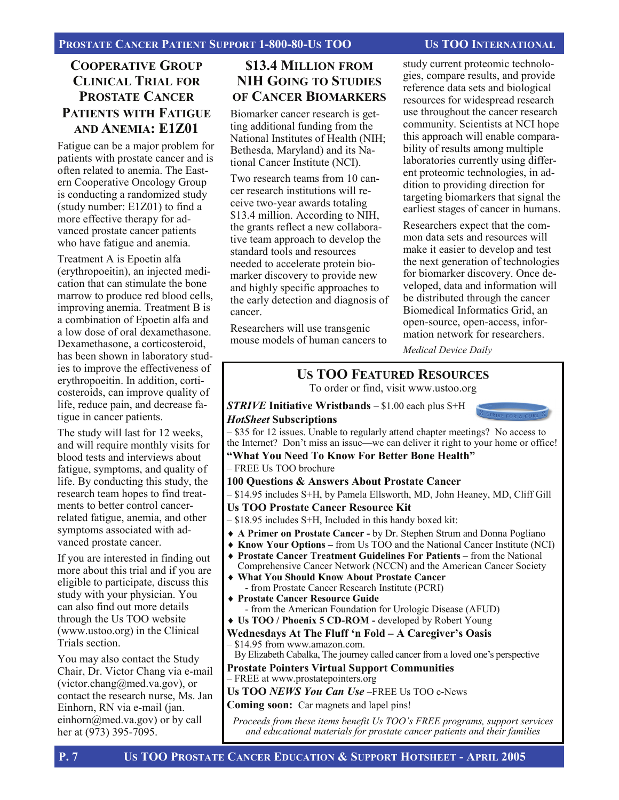#### **COOPERATIVE GROUP CLINICAL TRIAL FOR PROSTATE CANCER PATIENTS WITH FATIGUE AND ANEMIA: E1Z01**

Fatigue can be a major problem for patients with prostate cancer and is often related to anemia. The Eastern Cooperative Oncology Group is conducting a randomized study (study number: E1Z01) to find a more effective therapy for advanced prostate cancer patients who have fatigue and anemia.

Treatment A is Epoetin alfa (erythropoeitin), an injected medication that can stimulate the bone marrow to produce red blood cells, improving anemia. Treatment B is a combination of Epoetin alfa and a low dose of oral dexamethasone. Dexamethasone, a corticosteroid, has been shown in laboratory studies to improve the effectiveness of erythropoeitin. In addition, corticosteroids, can improve quality of life, reduce pain, and decrease fatigue in cancer patients.

The study will last for 12 weeks, and will require monthly visits for blood tests and interviews about fatigue, symptoms, and quality of life. By conducting this study, the research team hopes to find treatments to better control cancerrelated fatigue, anemia, and other symptoms associated with advanced prostate cancer.

If you are interested in finding out more about this trial and if you are eligible to participate, discuss this study with your physician. You can also find out more details through the Us TOO website (www.ustoo.org) in the Clinical Trials section.

You may also contact the Study Chair, Dr. Victor Chang via e-mail (victor.chang@med.va.gov), or contact the research nurse, Ms. Jan Einhorn, RN via e-mail (jan. einhorn@med.va.gov) or by call her at (973) 395-7095.

#### **\$13.4 MILLION FROM NIH GOING TO STUDIES OF CANCER BIOMARKERS**

Biomarker cancer research is getting additional funding from the National Institutes of Health (NIH; Bethesda, Maryland) and its National Cancer Institute (NCI).

Two research teams from 10 cancer research institutions will receive two-year awards totaling \$13.4 million. According to NIH, the grants reflect a new collaborative team approach to develop the standard tools and resources needed to accelerate protein biomarker discovery to provide new and highly specific approaches to the early detection and diagnosis of cancer.

Researchers will use transgenic mouse models of human cancers to

study current proteomic technologies, compare results, and provide reference data sets and biological resources for widespread research use throughout the cancer research community. Scientists at NCI hope this approach will enable comparability of results among multiple laboratories currently using different proteomic technologies, in addition to providing direction for targeting biomarkers that signal the earliest stages of cancer in humans.

Researchers expect that the common data sets and resources will make it easier to develop and test the next generation of technologies for biomarker discovery. Once developed, data and information will be distributed through the cancer Biomedical Informatics Grid, an open-source, open-access, information network for researchers.

*Medical Device Daily* 

## **US TOO FEATURED RESOURCES**

To order or find, visit www.ustoo.org

*STRIVE* **Initiative Wristbands** – \$1.00 each plus S+H *HotSheet* **Subscriptions**



– \$35 for 12 issues. Unable to regularly attend chapter meetings? No access to the Internet? Don't miss an issue—we can deliver it right to your home or office! **"What You Need To Know For Better Bone Health"**

– FREE Us TOO brochure

#### **100 Questions & Answers About Prostate Cancer**

– \$14.95 includes S+H, by Pamela Ellsworth, MD, John Heaney, MD, Cliff Gill

#### **Us TOO Prostate Cancer Resource Kit**

- \$18.95 includes S+H, Included in this handy boxed kit:
- ♦ **A Primer on Prostate Cancer** by Dr. Stephen Strum and Donna Pogliano
- ♦ **Know Your Options** from Us TOO and the National Cancer Institute (NCI)
- ♦ **Prostate Cancer Treatment Guidelines For Patients**  from the National Comprehensive Cancer Network (NCCN) and the American Cancer Society
- **What You Should Know About Prostate Cancer** - from Prostate Cancer Research Institute (PCRI)
- ♦ **Prostate Cancer Resource Guide** - from the American Foundation for Urologic Disease (AFUD)
- ♦ **Us TOO / Phoenix 5 CD-ROM** developed by Robert Young

#### **Wednesdays At The Fluff 'n Fold – A Caregiver's Oasis**  – \$14.95 from www.amazon.com.

By Elizabeth Cabalka, The journey called cancer from a loved one's perspective

**Prostate Pointers Virtual Support Communities** 

#### – FREE at www.prostatepointers.org

**Us TOO** *NEWS You Can Use* –FREE Us TOO e-News

**Coming soon:** Car magnets and lapel pins!

*Proceeds from these items benefit Us TOO's FREE programs, support services and educational materials for prostate cancer patients and their families*